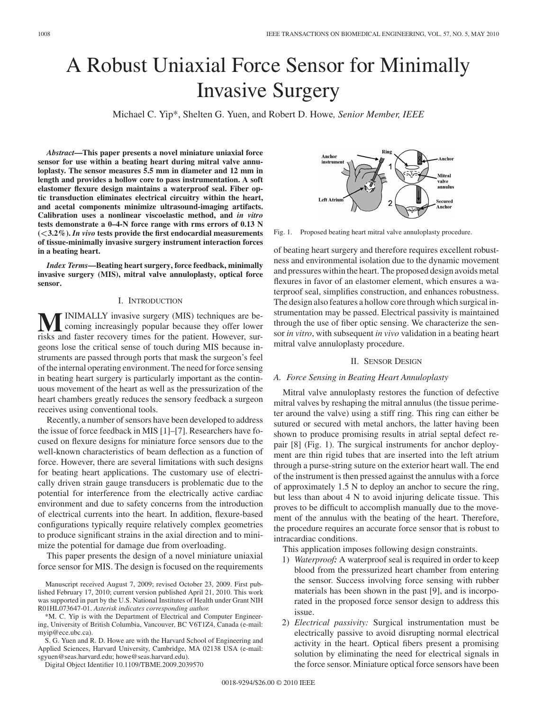# A Robust Uniaxial Force Sensor for Minimally Invasive Surgery

Michael C. Yip\*, Shelten G. Yuen, and Robert D. Howe*, Senior Member, IEEE*

*Abstract***—This paper presents a novel miniature uniaxial force sensor for use within a beating heart during mitral valve annuloplasty. The sensor measures 5.5 mm in diameter and 12 mm in length and provides a hollow core to pass instrumentation. A soft elastomer flexure design maintains a waterproof seal. Fiber optic transduction eliminates electrical circuitry within the heart, and acetal components minimize ultrasound-imaging artifacts. Calibration uses a nonlinear viscoelastic method, and** *in vitro* **tests demonstrate a 0–4-N force range with rms errors of 0.13 N (***<***3.2%).** *In vivo* **tests provide the first endocardial measurements of tissue-minimally invasive surgery instrument interaction forces in a beating heart.**

*Index Terms***—Beating heart surgery, force feedback, minimally invasive surgery (MIS), mitral valve annuloplasty, optical force sensor.**

# I. INTRODUCTION

**M**INIMALLY invasive surgery (MIS) techniques are becoming increasingly popular because they offer lower risks and faster recovery times for the patient. However, surgeons lose the critical sense of touch during MIS because instruments are passed through ports that mask the surgeon's feel of the internal operating environment. The need for force sensing in beating heart surgery is particularly important as the continuous movement of the heart as well as the pressurization of the heart chambers greatly reduces the sensory feedback a surgeon receives using conventional tools.

Recently, a number of sensors have been developed to address the issue of force feedback in MIS [1]–[7]. Researchers have focused on flexure designs for miniature force sensors due to the well-known characteristics of beam deflection as a function of force. However, there are several limitations with such designs for beating heart applications. The customary use of electrically driven strain gauge transducers is problematic due to the potential for interference from the electrically active cardiac environment and due to safety concerns from the introduction of electrical currents into the heart. In addition, flexure-based configurations typically require relatively complex geometries to produce significant strains in the axial direction and to minimize the potential for damage due from overloading.

This paper presents the design of a novel miniature uniaxial force sensor for MIS. The design is focused on the requirements

\*M. C. Yip is with the Department of Electrical and Computer Engineering, University of British Columbia, Vancouver, BC V6T1Z4, Canada (e-mail: myip@ece.ubc.ca).

S. G. Yuen and R. D. Howe are with the Harvard School of Engineering and Applied Sciences, Harvard University, Cambridge, MA 02138 USA (e-mail: sgyuen@seas.harvard.edu; howe@seas.harvard.edu).

Digital Object Identifier 10.1109/TBME.2009.2039570

Rins Ancho Anchor Mitral valve annulus **Left Atriur** cured: Anchor

Fig. 1. Proposed beating heart mitral valve annuloplasty procedure.

of beating heart surgery and therefore requires excellent robustness and environmental isolation due to the dynamic movement and pressures within the heart. The proposed design avoids metal flexures in favor of an elastomer element, which ensures a waterproof seal, simplifies construction, and enhances robustness. The design also features a hollow core through which surgical instrumentation may be passed. Electrical passivity is maintained through the use of fiber optic sensing. We characterize the sensor *in vitro*, with subsequent *in vivo* validation in a beating heart mitral valve annuloplasty procedure.

#### II. SENSOR DESIGN

#### *A. Force Sensing in Beating Heart Annuloplasty*

Mitral valve annuloplasty restores the function of defective mitral valves by reshaping the mitral annulus (the tissue perimeter around the valve) using a stiff ring. This ring can either be sutured or secured with metal anchors, the latter having been shown to produce promising results in atrial septal defect repair [8] (Fig. 1). The surgical instruments for anchor deployment are thin rigid tubes that are inserted into the left atrium through a purse-string suture on the exterior heart wall. The end of the instrument is then pressed against the annulus with a force of approximately 1.5 N to deploy an anchor to secure the ring, but less than about 4 N to avoid injuring delicate tissue. This proves to be difficult to accomplish manually due to the movement of the annulus with the beating of the heart. Therefore, the procedure requires an accurate force sensor that is robust to intracardiac conditions.

This application imposes following design constraints.

- 1) *Waterproof:* A waterproof seal is required in order to keep blood from the pressurized heart chamber from entering the sensor. Success involving force sensing with rubber materials has been shown in the past [9], and is incorporated in the proposed force sensor design to address this issue.
- 2) *Electrical passivity:* Surgical instrumentation must be electrically passive to avoid disrupting normal electrical activity in the heart. Optical fibers present a promising solution by eliminating the need for electrical signals in the force sensor. Miniature optical force sensors have been

Manuscript received August 7, 2009; revised October 23, 2009. First published February 17, 2010; current version published April 21, 2010. This work was supported in part by the U.S. National Institutes of Health under Grant NIH R01HL073647-01. *Asterisk indicates corresponding author.*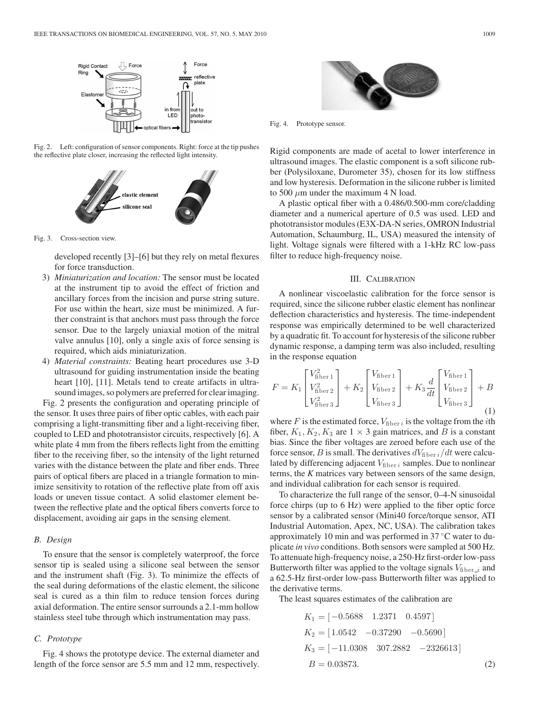

Fig. 2. Left: configuration of sensor components. Right: force at the tip pushes the reflective plate closer, increasing the reflected light intensity.



Fig. 3. Cross-section view.

developed recently [3]–[6] but they rely on metal flexures for force transduction.

- 3) *Miniaturization and location:* The sensor must be located at the instrument tip to avoid the effect of friction and ancillary forces from the incision and purse string suture. For use within the heart, size must be minimized. A further constraint is that anchors must pass through the force sensor. Due to the largely uniaxial motion of the mitral valve annulus [10], only a single axis of force sensing is required, which aids miniaturization.
- 4) *Material constraints:* Beating heart procedures use 3-D ultrasound for guiding instrumentation inside the beating heart [10], [11]. Metals tend to create artifacts in ultrasound images, so polymers are preferred for clear imaging.

Fig. 2 presents the configuration and operating principle of the sensor. It uses three pairs of fiber optic cables, with each pair comprising a light-transmitting fiber and a light-receiving fiber, coupled to LED and phototransistor circuits, respectively [6]. A white plate 4 mm from the fibers reflects light from the emitting fiber to the receiving fiber, so the intensity of the light returned varies with the distance between the plate and fiber ends. Three pairs of optical fibers are placed in a triangle formation to minimize sensitivity to rotation of the reflective plate from off axis loads or uneven tissue contact. A solid elastomer element between the reflective plate and the optical fibers converts force to displacement, avoiding air gaps in the sensing element.

## *B. Design*

To ensure that the sensor is completely waterproof, the force sensor tip is sealed using a silicone seal between the sensor and the instrument shaft (Fig. 3). To minimize the effects of the seal during deformations of the elastic element, the silicone seal is cured as a thin film to reduce tension forces during axial deformation. The entire sensor surrounds a 2.1-mm hollow stainless steel tube through which instrumentation may pass.

## *C. Prototype*

Fig. 4 shows the prototype device. The external diameter and length of the force sensor are 5.5 mm and 12 mm, respectively.



Fig. 4. Prototype sensor.

Rigid components are made of acetal to lower interference in ultrasound images. The elastic component is a soft silicone rubber (Polysiloxane, Durometer 35), chosen for its low stiffness and low hysteresis. Deformation in the silicone rubber is limited to 500  $\mu$ m under the maximum 4 N load.

A plastic optical fiber with a 0.486/0.500-mm core/cladding diameter and a numerical aperture of 0.5 was used. LED and phototransistor modules (E3X-DA-N series, OMRON Industrial Automation, Schaumburg, IL, USA) measured the intensity of light. Voltage signals were filtered with a 1-kHz RC low-pass filter to reduce high-frequency noise.

### III. CALIBRATION

A nonlinear viscoelastic calibration for the force sensor is required, since the silicone rubber elastic element has nonlinear deflection characteristics and hysteresis. The time-independent response was empirically determined to be well characterized by a quadratic fit. To account for hysteresis of the silicone rubber dynamic response, a damping term was also included, resulting in the response equation

$$
F = K_1 \begin{bmatrix} V_{\text{fiber 1}}^2 \\ V_{\text{fiber 2}}^2 \\ V_{\text{fiber 3}}^2 \end{bmatrix} + K_2 \begin{bmatrix} V_{\text{fiber 1}} \\ V_{\text{fiber 2}} \\ V_{\text{fiber 3}} \end{bmatrix} + K_3 \frac{d}{dt} \begin{bmatrix} V_{\text{fiber 1}} \\ V_{\text{fiber 2}} \\ V_{\text{fiber 3}} \end{bmatrix} + B
$$
\n(1)

where  $F$  is the estimated force,  $V_{\text{fiber }i}$  is the voltage from the *i*th fiber,  $K_1, K_2, K_3$  are  $1 \times 3$  gain matrices, and B is a constant bias. Since the fiber voltages are zeroed before each use of the force sensor, B is small. The derivatives  $dV_{\text{fiber }i}/dt$  were calculated by differencing adjacent  $V_{\text{fiber }i}$  samples. Due to nonlinear terms, the *K* matrices vary between sensors of the same design, and individual calibration for each sensor is required.

To characterize the full range of the sensor, 0–4-N sinusoidal force chirps (up to 6 Hz) were applied to the fiber optic force sensor by a calibrated sensor (Mini40 force/torque sensor, ATI Industrial Automation, Apex, NC, USA). The calibration takes approximately 10 min and was performed in 37 ◦C water to duplicate *in vivo* conditions. Both sensors were sampled at 500 Hz. To attenuate high-frequency noise, a 250-Hz first-order low-pass Butterworth filter was applied to the voltage signals  $V_{\text{fiber}-i}$  and a 62.5-Hz first-order low-pass Butterworth filter was applied to the derivative terms.

The least squares estimates of the calibration are

 $K_1 = [-0.5688 \quad 1.2371 \quad 0.4597]$  $K_2 = \begin{bmatrix} 1.0542 & -0.37290 & -0.5690 \end{bmatrix}$  $K_3 = [-11.0308 \quad 307.2882 \quad -2326613]$  $B = 0.03873.$  (2)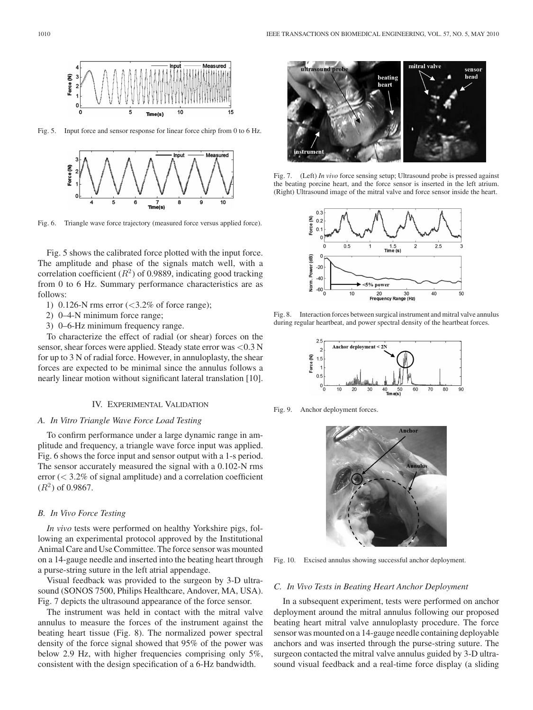$10$ 

Fig. 5. Input force and sensor response for linear force chirp from 0 to 6 Hz.

 $Time(s)$ 



Fig. 6. Triangle wave force trajectory (measured force versus applied force).

Fig. 5 shows the calibrated force plotted with the input force. The amplitude and phase of the signals match well, with a correlation coefficient  $(R^2)$  of 0.9889, indicating good tracking from 0 to 6 Hz. Summary performance characteristics are as follows:

- 1) 0.126-N rms error  $\left( \langle 3.2\% \rangle \right)$  of force range);
- 2) 0–4-N minimum force range;
- 3) 0–6-Hz minimum frequency range.

To characterize the effect of radial (or shear) forces on the sensor, shear forces were applied. Steady state error was <0.3 N for up to 3 N of radial force. However, in annuloplasty, the shear forces are expected to be minimal since the annulus follows a nearly linear motion without significant lateral translation [10].

# IV. EXPERIMENTAL VALIDATION

# *A. In Vitro Triangle Wave Force Load Testing*

To confirm performance under a large dynamic range in amplitude and frequency, a triangle wave force input was applied. Fig. 6 shows the force input and sensor output with a 1-s period. The sensor accurately measured the signal with a 0.102-N rms error  $( $3.2\%$  of signal amplitude) and a correlation coefficient$  $(R^2)$  of 0.9867.

## *B. In Vivo Force Testing*

*In vivo* tests were performed on healthy Yorkshire pigs, following an experimental protocol approved by the Institutional Animal Care and Use Committee. The force sensor was mounted on a 14-gauge needle and inserted into the beating heart through a purse-string suture in the left atrial appendage.

Visual feedback was provided to the surgeon by 3-D ultrasound (SONOS 7500, Philips Healthcare, Andover, MA, USA). Fig. 7 depicts the ultrasound appearance of the force sensor.

The instrument was held in contact with the mitral valve annulus to measure the forces of the instrument against the beating heart tissue (Fig. 8). The normalized power spectral density of the force signal showed that 95% of the power was below 2.9 Hz, with higher frequencies comprising only 5%, consistent with the design specification of a 6-Hz bandwidth.



Fig. 7. (Left) *In vivo* force sensing setup; Ultrasound probe is pressed against the beating porcine heart, and the force sensor is inserted in the left atrium. (Right) Ultrasound image of the mitral valve and force sensor inside the heart.



Fig. 8. Interaction forces between surgical instrument and mitral valve annulus during regular heartbeat, and power spectral density of the heartbeat forces.



Fig. 9. Anchor deployment forces.



Fig. 10. Excised annulus showing successful anchor deployment.

## *C. In Vivo Tests in Beating Heart Anchor Deployment*

In a subsequent experiment, tests were performed on anchor deployment around the mitral annulus following our proposed beating heart mitral valve annuloplasty procedure. The force sensor was mounted on a 14-gauge needle containing deployable anchors and was inserted through the purse-string suture. The surgeon contacted the mitral valve annulus guided by 3-D ultrasound visual feedback and a real-time force display (a sliding

Force (N)